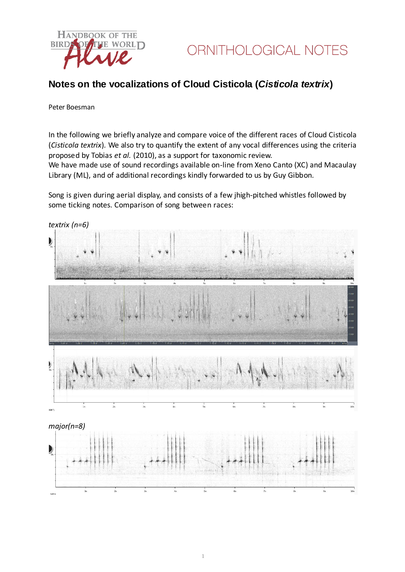

## **Notes on the vocalizations of Cloud Cisticola (***Cisticola textrix***)**

#### Peter Boesman

In the following we briefly analyze and compare voice of the different races of Cloud Cisticola (*Cisticola textrix*)*.* We also try to quantify the extent of any vocal differences using the criteria proposed by Tobias *et al.* (2010), as a support for taxonomic review.

We have made use of sound recordings available on-line from Xeno Canto (XC) and Macaulay Library (ML), and of additional recordings kindly forwarded to us by Guy Gibbon.

Song is given during aerial display, and consists of a few jhigh-pitched whistles followed by some ticking notes. Comparison of song between races: